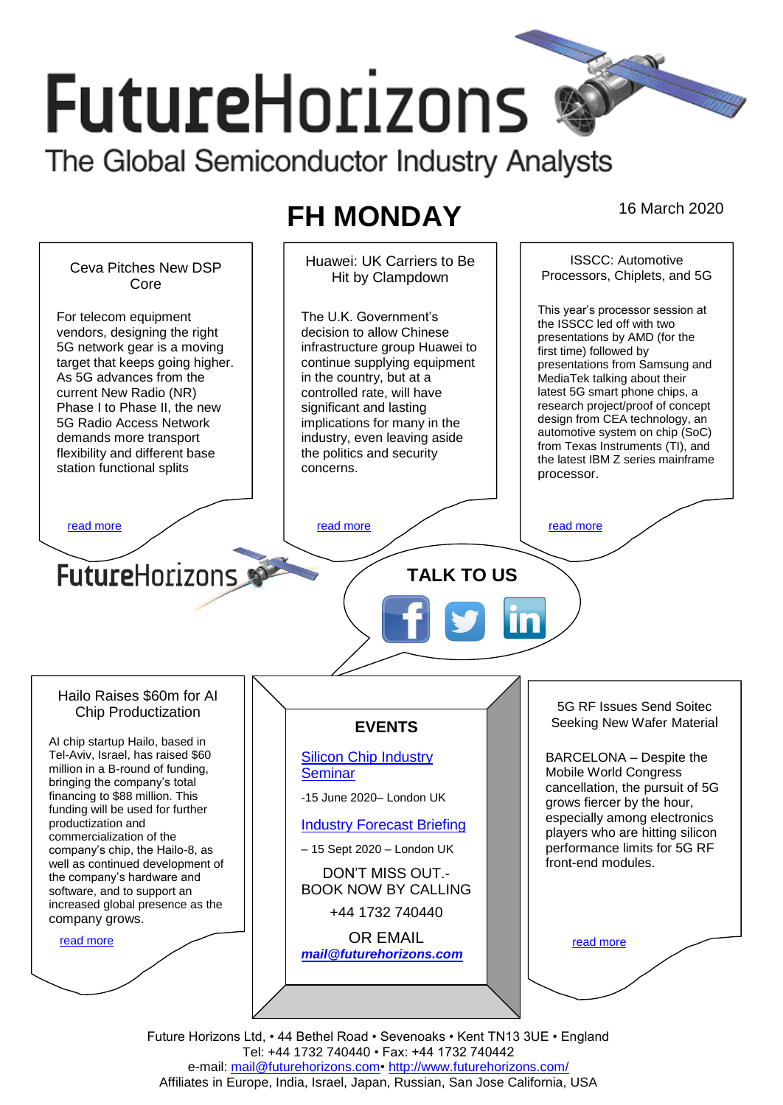# **FutureHorizons**

The Global Semiconductor Industry Analysts

## **FH MONDAY** 16 March 2020

ISSCC: Automotive Huawei: UK Carriers to Be Ceva Pitches New DSP Hit by Clampdown Processors, Chiplets, and 5G Core This year's processor session at For telecom equipment The U.K. Government's the ISSCC led off with two vendors, designing the right decision to allow Chinese presentations by AMD (for the 5G network gear is a moving infrastructure group Huawei to first time) followed by target that keeps going higher. continue supplying equipment presentations from Samsung and As 5G advances from the in the country, but at a MediaTek talking about their latest 5G smart phone chips, a current New Radio (NR) controlled rate, will have research project/proof of concept Phase I to Phase II, the new significant and lasting design from CEA technology, an 5G Radio Access Network implications for many in the automotive system on chip (SoC) demands more transport industry, even leaving aside from Texas Instruments (TI), and flexibility and different base the politics and security the latest IBM Z series mainframe station functional splits concerns. processor. [read more](#page-1-1) that the second contract the second contract of the read more that the read more that the read more **Future**Horizons **TALK TO US** Hailo Raises \$60m for AI 5G RF Issues Send Soitec Chip Productization Seeking New Wafer Material **EVENTS** AI chip startup Hailo, based in Tel-Aviv, Israel, has raised \$60 [Silicon Chip Industry](http://www.futurehorizons.com/page/12/silicon-chip-training)  BARCELONA – Despite the million in a B-round of funding, **[Seminar](http://www.futurehorizons.com/page/12/silicon-chip-training)** Mobile World Congress bringing the company's total cancellation, the pursuit of 5G financing to \$88 million. This -15 June 2020– London UK grows fiercer by the hour, funding will be used for further especially among electronics productization and [Industry Forecast Briefing](http://www.futurehorizons.com/page/13/Semiconductor-Market-Forecast-Seminar) players who are hitting silicon commercialization of the performance limits for 5G RF company's chip, the Hailo-8, as – 15 Sept 2020 – London UK well as continued development of front-end modules. DON'T MISS OUT. the company's hardware and BOOK NOW BY CALLING software, and to support an increased global presence as the +44 1732 740440 company grows.OR EMAIL [read more](#page-1-3) [read more](#page-1-4) *[mail@futurehorizons.com](mailto:mail@futurehorizons.com)*

> Future Horizons Ltd, • 44 Bethel Road • Sevenoaks • Kent TN13 3UE • England Tel: +44 1732 740440 • Fax: +44 1732 740442 e-mail: mail@futurehorizons.com• http://www.futurehorizons.com/ Affiliates in Europe, India, Israel, Japan, Russian, San Jose California, USA